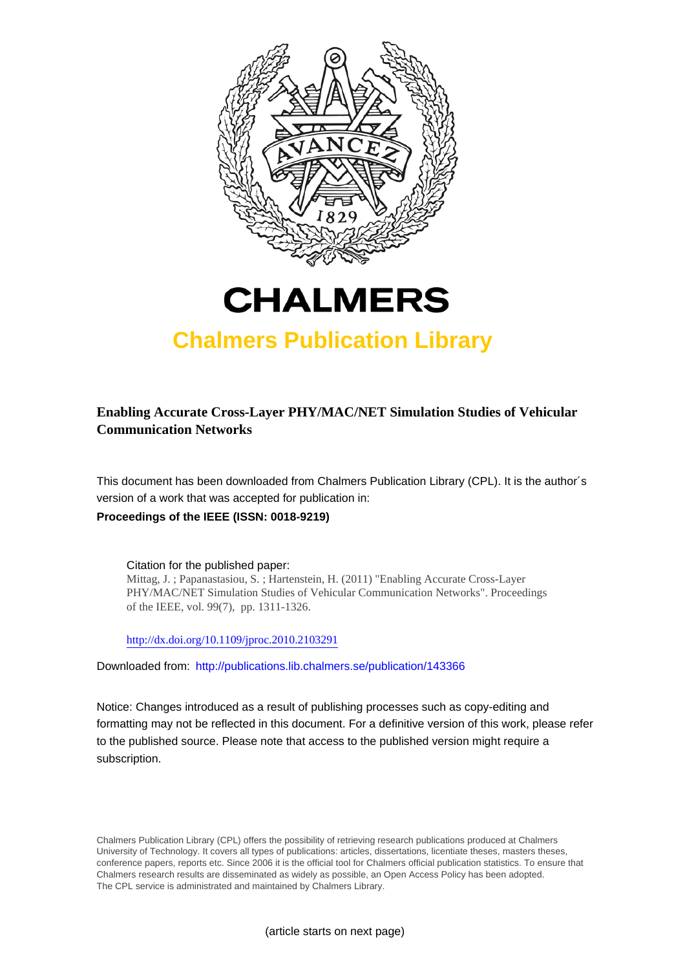



## **Chalmers Publication Library**

### **Enabling Accurate Cross-Layer PHY/MAC/NET Simulation Studies of Vehicular Communication Networks**

This document has been downloaded from Chalmers Publication Library (CPL). It is the author´s version of a work that was accepted for publication in: **Proceedings of the IEEE (ISSN: 0018-9219)**

Citation for the published paper: Mittag, J. ; Papanastasiou, S. ; Hartenstein, H. (2011) "Enabling Accurate Cross-Layer PHY/MAC/NET Simulation Studies of Vehicular Communication Networks". Proceedings of the IEEE, vol. 99(7), pp. 1311-1326.

<http://dx.doi.org/10.1109/jproc.2010.2103291>

Downloaded from: <http://publications.lib.chalmers.se/publication/143366>

Notice: Changes introduced as a result of publishing processes such as copy-editing and formatting may not be reflected in this document. For a definitive version of this work, please refer to the published source. Please note that access to the published version might require a subscription.

Chalmers Publication Library (CPL) offers the possibility of retrieving research publications produced at Chalmers University of Technology. It covers all types of publications: articles, dissertations, licentiate theses, masters theses, conference papers, reports etc. Since 2006 it is the official tool for Chalmers official publication statistics. To ensure that Chalmers research results are disseminated as widely as possible, an Open Access Policy has been adopted. The CPL service is administrated and maintained by Chalmers Library.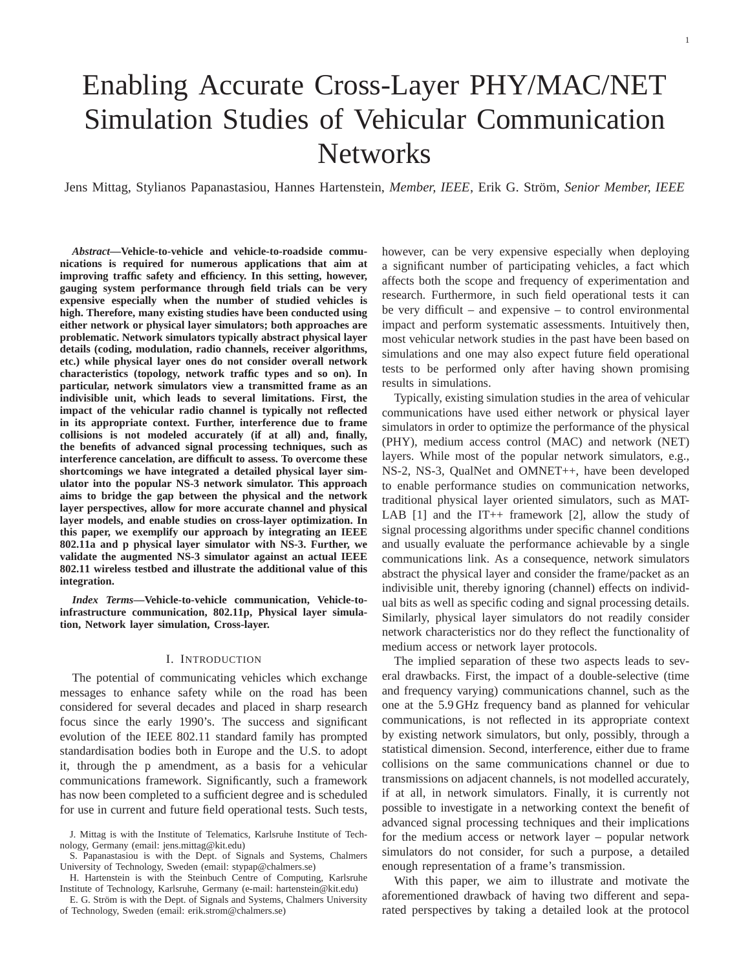# Enabling Accurate Cross-Layer PHY/MAC/NET Simulation Studies of Vehicular Communication **Networks**

Jens Mittag, Stylianos Papanastasiou, Hannes Hartenstein, *Member, IEEE*, Erik G. Ström, Senior Member, IEEE

*Abstract***—Vehicle-to-vehicle and vehicle-to-roadside communications is required for numerous applications that aim at improving traffic safety and efficiency. In this setting, however, gauging system performance through field trials can be very expensive especially when the number of studied vehicles is high. Therefore, many existing studies have been conducted using either network or physical layer simulators; both approaches are problematic. Network simulators typically abstract physical layer details (coding, modulation, radio channels, receiver algorithms, etc.) while physical layer ones do not consider overall network characteristics (topology, network traffic types and so on). In particular, network simulators view a transmitted frame as an indivisible unit, which leads to several limitations. First, the impact of the vehicular radio channel is typically not reflected in its appropriate context. Further, interference due to frame collisions is not modeled accurately (if at all) and, finally, the benefits of advanced signal processing techniques, such as interference cancelation, are difficult to assess. To overcome these shortcomings we have integrated a detailed physical layer simulator into the popular NS-3 network simulator. This approach aims to bridge the gap between the physical and the network layer perspectives, allow for more accurate channel and physical layer models, and enable studies on cross-layer optimization. In this paper, we exemplify our approach by integrating an IEEE 802.11a and p physical layer simulator with NS-3. Further, we validate the augmented NS-3 simulator against an actual IEEE 802.11 wireless testbed and illustrate the additional value of this integration.**

*Index Terms***—Vehicle-to-vehicle communication, Vehicle-toinfrastructure communication, 802.11p, Physical layer simulation, Network layer simulation, Cross-layer.**

#### I. INTRODUCTION

The potential of communicating vehicles which exchange messages to enhance safety while on the road has been considered for several decades and placed in sharp research focus since the early 1990's. The success and significant evolution of the IEEE 802.11 standard family has prompted standardisation bodies both in Europe and the U.S. to adopt it, through the p amendment, as a basis for a vehicular communications framework. Significantly, such a framework has now been completed to a sufficient degree and is scheduled for use in current and future field operational tests. Such tests,

however, can be very expensive especially when deploying a significant number of participating vehicles, a fact which affects both the scope and frequency of experimentation and research. Furthermore, in such field operational tests it can be very difficult – and expensive – to control environmental impact and perform systematic assessments. Intuitively then, most vehicular network studies in the past have been based on simulations and one may also expect future field operational tests to be performed only after having shown promising results in simulations.

Typically, existing simulation studies in the area of vehicular communications have used either network or physical layer simulators in order to optimize the performance of the physical (PHY), medium access control (MAC) and network (NET) layers. While most of the popular network simulators, e.g., NS-2, NS-3, QualNet and OMNET++, have been developed to enable performance studies on communication networks, traditional physical layer oriented simulators, such as MAT-LAB  $[1]$  and the IT++ framework  $[2]$ , allow the study of signal processing algorithms under specific channel conditions and usually evaluate the performance achievable by a single communications link. As a consequence, network simulators abstract the physical layer and consider the frame/packet as an indivisible unit, thereby ignoring (channel) effects on individual bits as well as specific coding and signal processing details. Similarly, physical layer simulators do not readily consider network characteristics nor do they reflect the functionality of medium access or network layer protocols.

The implied separation of these two aspects leads to several drawbacks. First, the impact of a double-selective (time and frequency varying) communications channel, such as the one at the 5.9 GHz frequency band as planned for vehicular communications, is not reflected in its appropriate context by existing network simulators, but only, possibly, through a statistical dimension. Second, interference, either due to frame collisions on the same communications channel or due to transmissions on adjacent channels, is not modelled accurately, if at all, in network simulators. Finally, it is currently not possible to investigate in a networking context the benefit of advanced signal processing techniques and their implications for the medium access or network layer – popular network simulators do not consider, for such a purpose, a detailed enough representation of a frame's transmission.

With this paper, we aim to illustrate and motivate the aforementioned drawback of having two different and separated perspectives by taking a detailed look at the protocol

J. Mittag is with the Institute of Telematics, Karlsruhe Institute of Technology, Germany (email: jens.mittag@kit.edu)

S. Papanastasiou is with the Dept. of Signals and Systems, Chalmers University of Technology, Sweden (email: stypap@chalmers.se)

H. Hartenstein is with the Steinbuch Centre of Computing, Karlsruhe Institute of Technology, Karlsruhe, Germany (e-mail: hartenstein@kit.edu)

E. G. Ström is with the Dept. of Signals and Systems, Chalmers University of Technology, Sweden (email: erik.strom@chalmers.se)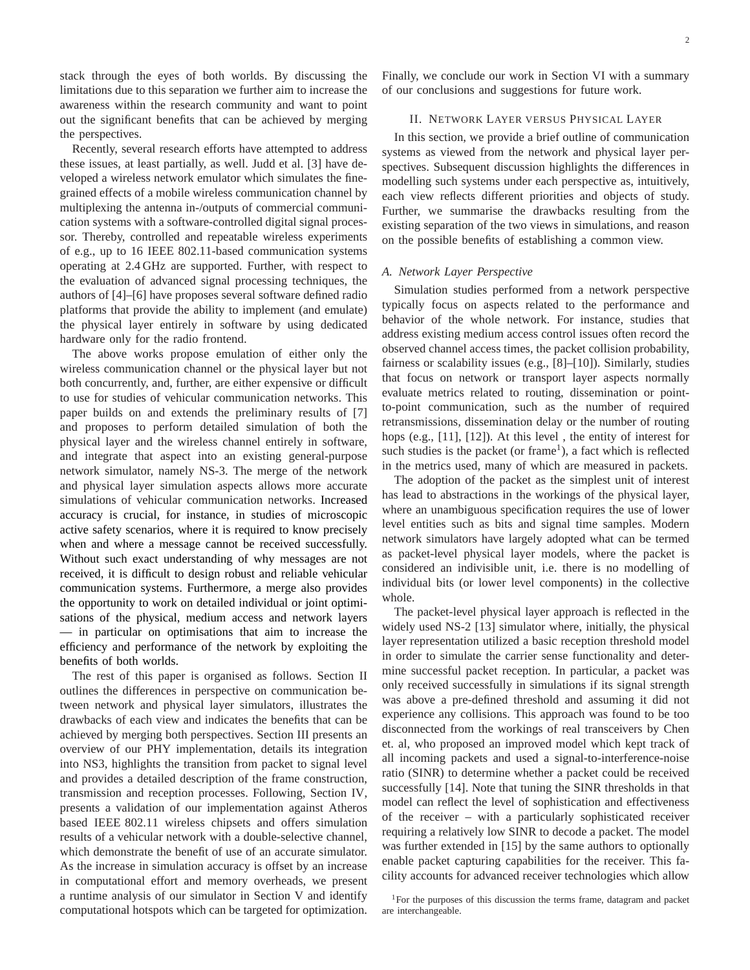stack through the eyes of both worlds. By discussing the limitations due to this separation we further aim to increase the awareness within the research community and want to point out the significant benefits that can be achieved by merging the perspectives.

Recently, several research efforts have attempted to address these issues, at least partially, as well. Judd et al. [3] have developed a wireless network emulator which simulates the finegrained effects of a mobile wireless communication channel by multiplexing the antenna in-/outputs of commercial communication systems with a software-controlled digital signal processor. Thereby, controlled and repeatable wireless experiments of e.g., up to 16 IEEE 802.11-based communication systems operating at 2.4 GHz are supported. Further, with respect to the evaluation of advanced signal processing techniques, the authors of [4]–[6] have proposes several software defined radio platforms that provide the ability to implement (and emulate) the physical layer entirely in software by using dedicated hardware only for the radio frontend.

The above works propose emulation of either only the wireless communication channel or the physical layer but not both concurrently, and, further, are either expensive or difficult to use for studies of vehicular communication networks. This paper builds on and extends the preliminary results of [7] and proposes to perform detailed simulation of both the physical layer and the wireless channel entirely in software, and integrate that aspect into an existing general-purpose network simulator, namely NS-3. The merge of the network and physical layer simulation aspects allows more accurate simulations of vehicular communication networks. Increased accuracy is crucial, for instance, in studies of microscopic active safety scenarios, where it is required to know precisely when and where a message cannot be received successfully. Without such exact understanding of why messages are not received, it is difficult to design robust and reliable vehicular communication systems. Furthermore, a merge also provides the opportunity to work on detailed individual or joint optimisations of the physical, medium access and network layers in particular on optimisations that aim to increase the efficiency and performance of the network by exploiting the benefits of both worlds.

The rest of this paper is organised as follows. Section II outlines the differences in perspective on communication between network and physical layer simulators, illustrates the drawbacks of each view and indicates the benefits that can be achieved by merging both perspectives. Section III presents an overview of our PHY implementation, details its integration into NS3, highlights the transition from packet to signal level and provides a detailed description of the frame construction, transmission and reception processes. Following, Section IV, presents a validation of our implementation against Atheros based IEEE 802.11 wireless chipsets and offers simulation results of a vehicular network with a double-selective channel, which demonstrate the benefit of use of an accurate simulator. As the increase in simulation accuracy is offset by an increase in computational effort and memory overheads, we present a runtime analysis of our simulator in Section V and identify computational hotspots which can be targeted for optimization. Finally, we conclude our work in Section VI with a summary of our conclusions and suggestions for future work.

#### II. NETWORK LAYER VERSUS PHYSICAL LAYER

In this section, we provide a brief outline of communication systems as viewed from the network and physical layer perspectives. Subsequent discussion highlights the differences in modelling such systems under each perspective as, intuitively, each view reflects different priorities and objects of study. Further, we summarise the drawbacks resulting from the existing separation of the two views in simulations, and reason on the possible benefits of establishing a common view.

#### *A. Network Layer Perspective*

Simulation studies performed from a network perspective typically focus on aspects related to the performance and behavior of the whole network. For instance, studies that address existing medium access control issues often record the observed channel access times, the packet collision probability, fairness or scalability issues (e.g., [8]–[10]). Similarly, studies that focus on network or transport layer aspects normally evaluate metrics related to routing, dissemination or pointto-point communication, such as the number of required retransmissions, dissemination delay or the number of routing hops (e.g., [11], [12]). At this level , the entity of interest for such studies is the packet (or frame<sup>1</sup>), a fact which is reflected in the metrics used, many of which are measured in packets.

The adoption of the packet as the simplest unit of interest has lead to abstractions in the workings of the physical layer, where an unambiguous specification requires the use of lower level entities such as bits and signal time samples. Modern network simulators have largely adopted what can be termed as packet-level physical layer models, where the packet is considered an indivisible unit, i.e. there is no modelling of individual bits (or lower level components) in the collective whole.

The packet-level physical layer approach is reflected in the widely used NS-2 [13] simulator where, initially, the physical layer representation utilized a basic reception threshold model in order to simulate the carrier sense functionality and determine successful packet reception. In particular, a packet was only received successfully in simulations if its signal strength was above a pre-defined threshold and assuming it did not experience any collisions. This approach was found to be too disconnected from the workings of real transceivers by Chen et. al, who proposed an improved model which kept track of all incoming packets and used a signal-to-interference-noise ratio (SINR) to determine whether a packet could be received successfully [14]. Note that tuning the SINR thresholds in that model can reflect the level of sophistication and effectiveness of the receiver – with a particularly sophisticated receiver requiring a relatively low SINR to decode a packet. The model was further extended in [15] by the same authors to optionally enable packet capturing capabilities for the receiver. This facility accounts for advanced receiver technologies which allow

<sup>&</sup>lt;sup>1</sup>For the purposes of this discussion the terms frame, datagram and packet are interchangeable.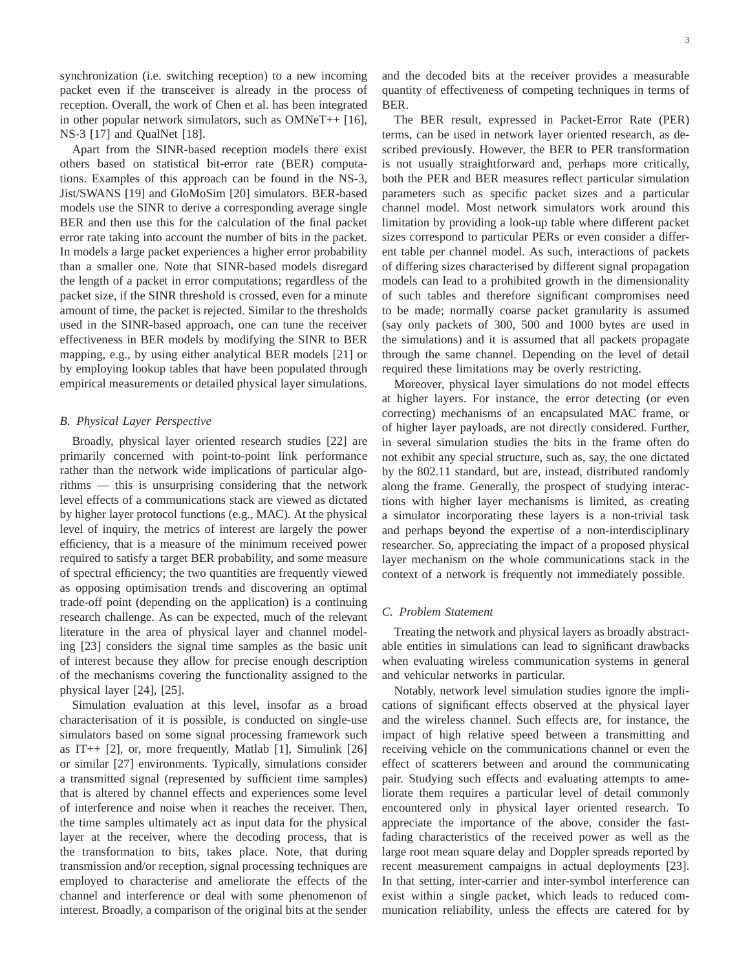synchronization (i.e. switching reception) to a new incoming packet even if the transceiver is already in the process of reception. Overall, the work of Chen et al. has been integrated in other popular network simulators, such as OMNeT++ [16], NS-3 [17] and QualNet [18].

Apart from the SINR-based reception models there exist others based on statistical bit-error rate (BER) computations. Examples of this approach can be found in the NS-3, Jist/SWANS [19] and GloMoSim [20] simulators. BER-based models use the SINR to derive a corresponding average single BER and then use this for the calculation of the final packet error rate taking into account the number of bits in the packet. In models a large packet experiences a higher error probability than a smaller one. Note that SINR-based models disregard the length of a packet in error computations; regardless of the packet size, if the SINR threshold is crossed, even for a minute amount of time, the packet is rejected. Similar to the thresholds used in the SINR-based approach, one can tune the receiver effectiveness in BER models by modifying the SINR to BER mapping, e.g., by using either analytical BER models [21] or by employing lookup tables that have been populated through empirical measurements or detailed physical layer simulations.

#### *B. Physical Layer Perspective*

Broadly, physical layer oriented research studies [22] are primarily concerned with point-to-point link performance rather than the network wide implications of particular algorithms — this is unsurprising considering that the network level effects of a communications stack are viewed as dictated by higher layer protocol functions (e.g., MAC). At the physical level of inquiry, the metrics of interest are largely the power efficiency, that is a measure of the minimum received power required to satisfy a target BER probability, and some measure of spectral efficiency; the two quantities are frequently viewed as opposing optimisation trends and discovering an optimal trade-off point (depending on the application) is a continuing research challenge. As can be expected, much of the relevant literature in the area of physical layer and channel modeling [23] considers the signal time samples as the basic unit of interest because they allow for precise enough description of the mechanisms covering the functionality assigned to the physical layer [24], [25].

Simulation evaluation at this level, insofar as a broad characterisation of it is possible, is conducted on single-use simulators based on some signal processing framework such as IT++  $[2]$ , or, more frequently, Matlab  $[1]$ , Simulink  $[26]$ or similar [27] environments. Typically, simulations consider a transmitted signal (represented by sufficient time samples) that is altered by channel effects and experiences some level of interference and noise when it reaches the receiver. Then, the time samples ultimately act as input data for the physical layer at the receiver, where the decoding process, that is the transformation to bits, takes place. Note, that during transmission and/or reception, signal processing techniques are employed to characterise and ameliorate the effects of the channel and interference or deal with some phenomenon of interest. Broadly, a comparison of the original bits at the sender and the decoded bits at the receiver provides a measurable quantity of effectiveness of competing techniques in terms of BER.

The BER result, expressed in Packet-Error Rate (PER) terms, can be used in network layer oriented research, as described previously. However, the BER to PER transformation is not usually straightforward and, perhaps more critically, both the PER and BER measures reflect particular simulation parameters such as specific packet sizes and a particular channel model. Most network simulators work around this limitation by providing a look-up table where different packet sizes correspond to particular PERs or even consider a different table per channel model. As such, interactions of packets of differing sizes characterised by different signal propagation models can lead to a prohibited growth in the dimensionality of such tables and therefore significant compromises need to be made; normally coarse packet granularity is assumed (say only packets of 300, 500 and 1000 bytes are used in the simulations) and it is assumed that all packets propagate through the same channel. Depending on the level of detail required these limitations may be overly restricting.

Moreover, physical layer simulations do not model effects at higher layers. For instance, the error detecting (or even correcting) mechanisms of an encapsulated MAC frame, or of higher layer payloads, are not directly considered. Further, in several simulation studies the bits in the frame often do not exhibit any special structure, such as, say, the one dictated by the 802.11 standard, but are, instead, distributed randomly along the frame. Generally, the prospect of studying interactions with higher layer mechanisms is limited, as creating a simulator incorporating these layers is a non-trivial task and perhaps beyond the expertise of a non-interdisciplinary researcher. So, appreciating the impact of a proposed physical layer mechanism on the whole communications stack in the context of a network is frequently not immediately possible.

#### *C. Problem Statement*

Treating the network and physical layers as broadly abstractable entities in simulations can lead to significant drawbacks when evaluating wireless communication systems in general and vehicular networks in particular.

Notably, network level simulation studies ignore the implications of significant effects observed at the physical layer and the wireless channel. Such effects are, for instance, the impact of high relative speed between a transmitting and receiving vehicle on the communications channel or even the effect of scatterers between and around the communicating pair. Studying such effects and evaluating attempts to ameliorate them requires a particular level of detail commonly encountered only in physical layer oriented research. To appreciate the importance of the above, consider the fastfading characteristics of the received power as well as the large root mean square delay and Doppler spreads reported by recent measurement campaigns in actual deployments [23]. In that setting, inter-carrier and inter-symbol interference can exist within a single packet, which leads to reduced communication reliability, unless the effects are catered for by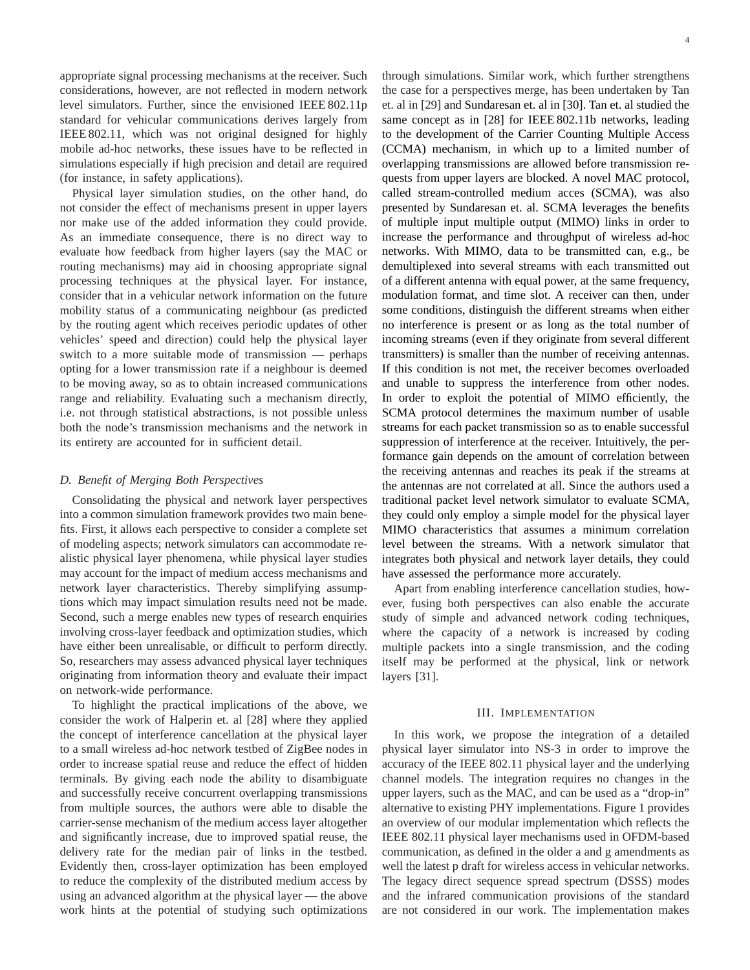appropriate signal processing mechanisms at the receiver. Such considerations, however, are not reflected in modern network level simulators. Further, since the envisioned IEEE 802.11p standard for vehicular communications derives largely from IEEE 802.11, which was not original designed for highly mobile ad-hoc networks, these issues have to be reflected in simulations especially if high precision and detail are required (for instance, in safety applications).

Physical layer simulation studies, on the other hand, do not consider the effect of mechanisms present in upper layers nor make use of the added information they could provide. As an immediate consequence, there is no direct way to evaluate how feedback from higher layers (say the MAC or routing mechanisms) may aid in choosing appropriate signal processing techniques at the physical layer. For instance, consider that in a vehicular network information on the future mobility status of a communicating neighbour (as predicted by the routing agent which receives periodic updates of other vehicles' speed and direction) could help the physical layer switch to a more suitable mode of transmission — perhaps opting for a lower transmission rate if a neighbour is deemed to be moving away, so as to obtain increased communications range and reliability. Evaluating such a mechanism directly, i.e. not through statistical abstractions, is not possible unless both the node's transmission mechanisms and the network in its entirety are accounted for in sufficient detail.

#### *D. Benefit of Merging Both Perspectives*

Consolidating the physical and network layer perspectives into a common simulation framework provides two main benefits. First, it allows each perspective to consider a complete set of modeling aspects; network simulators can accommodate realistic physical layer phenomena, while physical layer studies may account for the impact of medium access mechanisms and network layer characteristics. Thereby simplifying assumptions which may impact simulation results need not be made. Second, such a merge enables new types of research enquiries involving cross-layer feedback and optimization studies, which have either been unrealisable, or difficult to perform directly. So, researchers may assess advanced physical layer techniques originating from information theory and evaluate their impact on network-wide performance.

To highlight the practical implications of the above, we consider the work of Halperin et. al [28] where they applied the concept of interference cancellation at the physical layer to a small wireless ad-hoc network testbed of ZigBee nodes in order to increase spatial reuse and reduce the effect of hidden terminals. By giving each node the ability to disambiguate and successfully receive concurrent overlapping transmissions from multiple sources, the authors were able to disable the carrier-sense mechanism of the medium access layer altogether and significantly increase, due to improved spatial reuse, the delivery rate for the median pair of links in the testbed. Evidently then, cross-layer optimization has been employed to reduce the complexity of the distributed medium access by using an advanced algorithm at the physical layer — the above work hints at the potential of studying such optimizations

through simulations. Similar work, which further strengthens the case for a perspectives merge, has been undertaken by Tan et. al in [29] and Sundaresan et. al in [30]. Tan et. al studied the same concept as in [28] for IEEE 802.11b networks, leading to the development of the Carrier Counting Multiple Access (CCMA) mechanism, in which up to a limited number of overlapping transmissions are allowed before transmission requests from upper layers are blocked. A novel MAC protocol, called stream-controlled medium acces (SCMA), was also presented by Sundaresan et. al. SCMA leverages the benefits of multiple input multiple output (MIMO) links in order to increase the performance and throughput of wireless ad-hoc networks. With MIMO, data to be transmitted can, e.g., be demultiplexed into several streams with each transmitted out of a different antenna with equal power, at the same frequency, modulation format, and time slot. A receiver can then, under some conditions, distinguish the different streams when either no interference is present or as long as the total number of incoming streams (even if they originate from several different transmitters) is smaller than the number of receiving antennas. If this condition is not met, the receiver becomes overloaded and unable to suppress the interference from other nodes. In order to exploit the potential of MIMO efficiently, the SCMA protocol determines the maximum number of usable streams for each packet transmission so as to enable successful suppression of interference at the receiver. Intuitively, the performance gain depends on the amount of correlation between the receiving antennas and reaches its peak if the streams at the antennas are not correlated at all. Since the authors used a traditional packet level network simulator to evaluate SCMA, they could only employ a simple model for the physical layer MIMO characteristics that assumes a minimum correlation level between the streams. With a network simulator that integrates both physical and network layer details, they could have assessed the performance more accurately.

Apart from enabling interference cancellation studies, however, fusing both perspectives can also enable the accurate study of simple and advanced network coding techniques, where the capacity of a network is increased by coding multiple packets into a single transmission, and the coding itself may be performed at the physical, link or network layers [31].

#### III. IMPLEMENTATION

In this work, we propose the integration of a detailed physical layer simulator into NS-3 in order to improve the accuracy of the IEEE 802.11 physical layer and the underlying channel models. The integration requires no changes in the upper layers, such as the MAC, and can be used as a "drop-in" alternative to existing PHY implementations. Figure 1 provides an overview of our modular implementation which reflects the IEEE 802.11 physical layer mechanisms used in OFDM-based communication, as defined in the older a and g amendments as well the latest p draft for wireless access in vehicular networks. The legacy direct sequence spread spectrum (DSSS) modes and the infrared communication provisions of the standard are not considered in our work. The implementation makes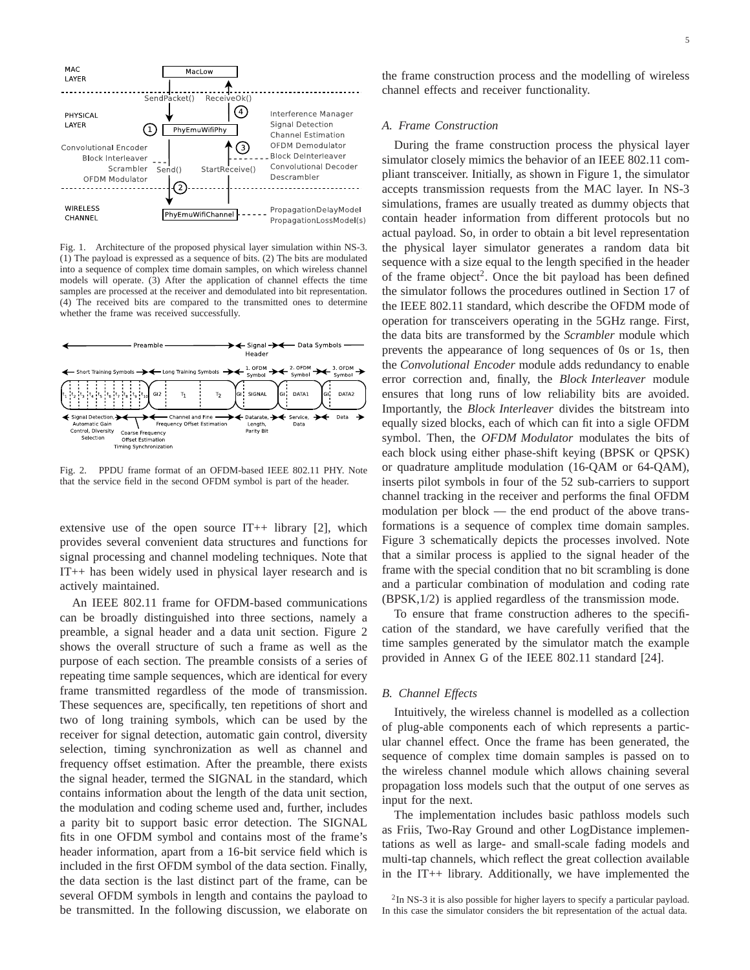

Fig. 1. Architecture of the proposed physical layer simulation within NS-3. (1) The payload is expressed as a sequence of bits. (2) The bits are modulated into a sequence of complex time domain samples, on which wireless channel models will operate. (3) After the application of channel effects the time samples are processed at the receiver and demodulated into bit representation. (4) The received bits are compared to the transmitted ones to determine whether the frame was received successfully.



Fig. 2. PPDU frame format of an OFDM-based IEEE 802.11 PHY. Note that the service field in the second OFDM symbol is part of the header.

extensive use of the open source  $IT++$  library [2], which provides several convenient data structures and functions for signal processing and channel modeling techniques. Note that IT++ has been widely used in physical layer research and is actively maintained.

An IEEE 802.11 frame for OFDM-based communications can be broadly distinguished into three sections, namely a preamble, a signal header and a data unit section. Figure 2 shows the overall structure of such a frame as well as the purpose of each section. The preamble consists of a series of repeating time sample sequences, which are identical for every frame transmitted regardless of the mode of transmission. These sequences are, specifically, ten repetitions of short and two of long training symbols, which can be used by the receiver for signal detection, automatic gain control, diversity selection, timing synchronization as well as channel and frequency offset estimation. After the preamble, there exists the signal header, termed the SIGNAL in the standard, which contains information about the length of the data unit section, the modulation and coding scheme used and, further, includes a parity bit to support basic error detection. The SIGNAL fits in one OFDM symbol and contains most of the frame's header information, apart from a 16-bit service field which is included in the first OFDM symbol of the data section. Finally, the data section is the last distinct part of the frame, can be several OFDM symbols in length and contains the payload to be transmitted. In the following discussion, we elaborate on the frame construction process and the modelling of wireless channel effects and receiver functionality.

#### *A. Frame Construction*

During the frame construction process the physical layer simulator closely mimics the behavior of an IEEE 802.11 compliant transceiver. Initially, as shown in Figure 1, the simulator accepts transmission requests from the MAC layer. In NS-3 simulations, frames are usually treated as dummy objects that contain header information from different protocols but no actual payload. So, in order to obtain a bit level representation the physical layer simulator generates a random data bit sequence with a size equal to the length specified in the header of the frame object<sup>2</sup>. Once the bit payload has been defined the simulator follows the procedures outlined in Section 17 of the IEEE 802.11 standard, which describe the OFDM mode of operation for transceivers operating in the 5GHz range. First, the data bits are transformed by the *Scrambler* module which prevents the appearance of long sequences of 0s or 1s, then the *Convolutional Encoder* module adds redundancy to enable error correction and, finally, the *Block Interleaver* module ensures that long runs of low reliability bits are avoided. Importantly, the *Block Interleaver* divides the bitstream into equally sized blocks, each of which can fit into a sigle OFDM symbol. Then, the *OFDM Modulator* modulates the bits of each block using either phase-shift keying (BPSK or QPSK) or quadrature amplitude modulation (16-QAM or 64-QAM), inserts pilot symbols in four of the 52 sub-carriers to support channel tracking in the receiver and performs the final OFDM modulation per block — the end product of the above transformations is a sequence of complex time domain samples. Figure 3 schematically depicts the processes involved. Note that a similar process is applied to the signal header of the frame with the special condition that no bit scrambling is done and a particular combination of modulation and coding rate (BPSK,1/2) is applied regardless of the transmission mode.

To ensure that frame construction adheres to the specification of the standard, we have carefully verified that the time samples generated by the simulator match the example provided in Annex G of the IEEE 802.11 standard [24].

#### *B. Channel Effects*

Intuitively, the wireless channel is modelled as a collection of plug-able components each of which represents a particular channel effect. Once the frame has been generated, the sequence of complex time domain samples is passed on to the wireless channel module which allows chaining several propagation loss models such that the output of one serves as input for the next.

The implementation includes basic pathloss models such as Friis, Two-Ray Ground and other LogDistance implementations as well as large- and small-scale fading models and multi-tap channels, which reflect the great collection available in the IT++ library. Additionally, we have implemented the

 $2$ In NS-3 it is also possible for higher layers to specify a particular payload. In this case the simulator considers the bit representation of the actual data.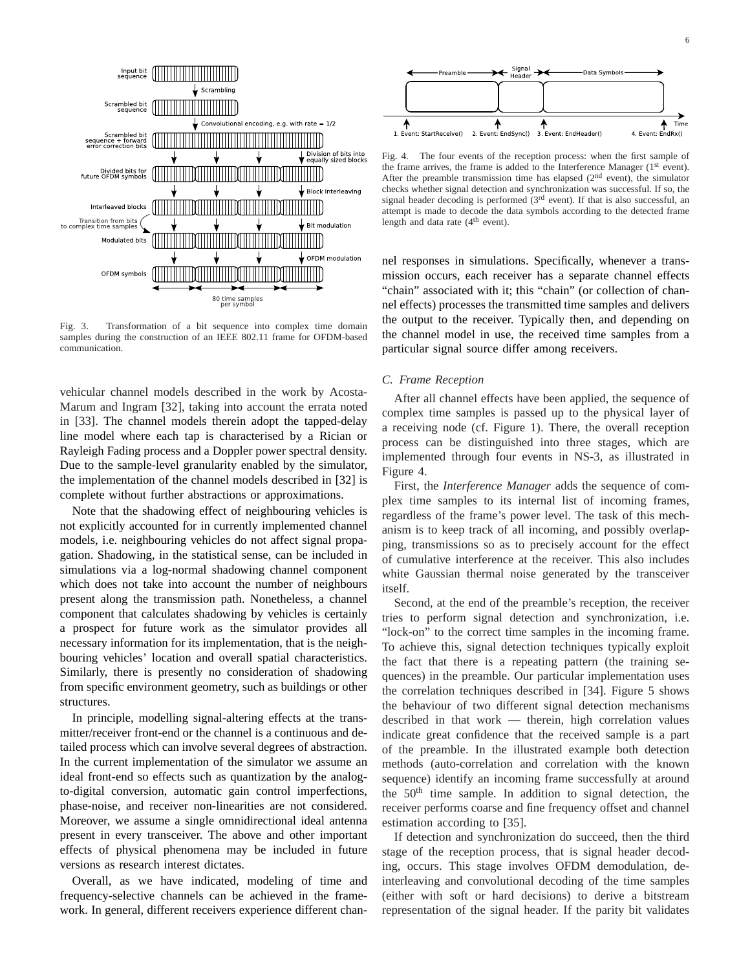

Fig. 3. Transformation of a bit sequence into complex time domain samples during the construction of an IEEE 802.11 frame for OFDM-based communication.

vehicular channel models described in the work by Acosta-Marum and Ingram [32], taking into account the errata noted in [33]. The channel models therein adopt the tapped-delay line model where each tap is characterised by a Rician or Rayleigh Fading process and a Doppler power spectral density. Due to the sample-level granularity enabled by the simulator, the implementation of the channel models described in [32] is complete without further abstractions or approximations.

Note that the shadowing effect of neighbouring vehicles is not explicitly accounted for in currently implemented channel models, i.e. neighbouring vehicles do not affect signal propagation. Shadowing, in the statistical sense, can be included in simulations via a log-normal shadowing channel component which does not take into account the number of neighbours present along the transmission path. Nonetheless, a channel component that calculates shadowing by vehicles is certainly a prospect for future work as the simulator provides all necessary information for its implementation, that is the neighbouring vehicles' location and overall spatial characteristics. Similarly, there is presently no consideration of shadowing from specific environment geometry, such as buildings or other structures.

In principle, modelling signal-altering effects at the transmitter/receiver front-end or the channel is a continuous and detailed process which can involve several degrees of abstraction. In the current implementation of the simulator we assume an ideal front-end so effects such as quantization by the analogto-digital conversion, automatic gain control imperfections, phase-noise, and receiver non-linearities are not considered. Moreover, we assume a single omnidirectional ideal antenna present in every transceiver. The above and other important effects of physical phenomena may be included in future versions as research interest dictates.

Overall, as we have indicated, modeling of time and frequency-selective channels can be achieved in the framework. In general, different receivers experience different chan-



Fig. 4. The four events of the reception process: when the first sample of the frame arrives, the frame is added to the Interference Manager  $(1<sup>st</sup>$  event). After the preamble transmission time has elapsed  $(2<sup>nd</sup>$  event), the simulator checks whether signal detection and synchronization was successful. If so, the signal header decoding is performed  $(3<sup>rd</sup>$  event). If that is also successful, an attempt is made to decode the data symbols according to the detected frame length and data rate  $(4<sup>th</sup>$  event).

nel responses in simulations. Specifically, whenever a transmission occurs, each receiver has a separate channel effects "chain" associated with it; this "chain" (or collection of channel effects) processes the transmitted time samples and delivers the output to the receiver. Typically then, and depending on the channel model in use, the received time samples from a particular signal source differ among receivers.

#### *C. Frame Reception*

After all channel effects have been applied, the sequence of complex time samples is passed up to the physical layer of a receiving node (cf. Figure 1). There, the overall reception process can be distinguished into three stages, which are implemented through four events in NS-3, as illustrated in Figure 4.

First, the *Interference Manager* adds the sequence of complex time samples to its internal list of incoming frames, regardless of the frame's power level. The task of this mechanism is to keep track of all incoming, and possibly overlapping, transmissions so as to precisely account for the effect of cumulative interference at the receiver. This also includes white Gaussian thermal noise generated by the transceiver itself.

Second, at the end of the preamble's reception, the receiver tries to perform signal detection and synchronization, i.e. "lock-on" to the correct time samples in the incoming frame. To achieve this, signal detection techniques typically exploit the fact that there is a repeating pattern (the training sequences) in the preamble. Our particular implementation uses the correlation techniques described in [34]. Figure 5 shows the behaviour of two different signal detection mechanisms described in that work — therein, high correlation values indicate great confidence that the received sample is a part of the preamble. In the illustrated example both detection methods (auto-correlation and correlation with the known sequence) identify an incoming frame successfully at around the  $50<sup>th</sup>$  time sample. In addition to signal detection, the receiver performs coarse and fine frequency offset and channel estimation according to [35].

If detection and synchronization do succeed, then the third stage of the reception process, that is signal header decoding, occurs. This stage involves OFDM demodulation, deinterleaving and convolutional decoding of the time samples (either with soft or hard decisions) to derive a bitstream representation of the signal header. If the parity bit validates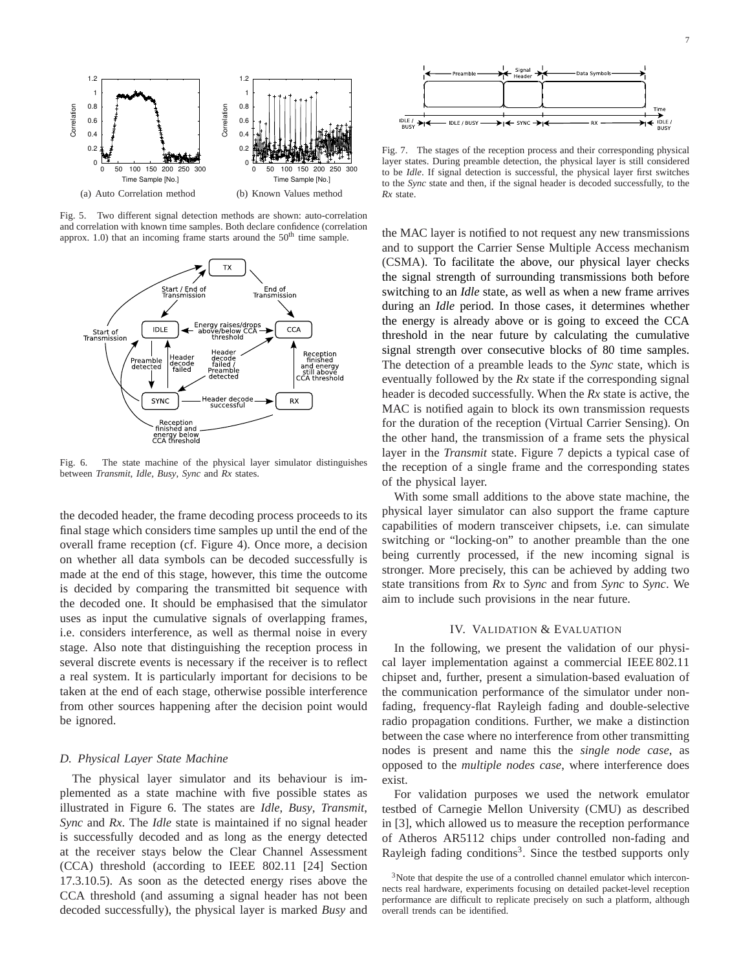

Fig. 5. Two different signal detection methods are shown: auto-correlation and correlation with known time samples. Both declare confidence (correlation approx. 1.0) that an incoming frame starts around the  $50<sup>th</sup>$  time sample.



Fig. 6. The state machine of the physical layer simulator distinguishes between *Transmit*, *Idle*, *Busy*, *Sync* and *Rx* states.

the decoded header, the frame decoding process proceeds to its final stage which considers time samples up until the end of the overall frame reception (cf. Figure 4). Once more, a decision on whether all data symbols can be decoded successfully is made at the end of this stage, however, this time the outcome is decided by comparing the transmitted bit sequence with the decoded one. It should be emphasised that the simulator uses as input the cumulative signals of overlapping frames, i.e. considers interference, as well as thermal noise in every stage. Also note that distinguishing the reception process in several discrete events is necessary if the receiver is to reflect a real system. It is particularly important for decisions to be taken at the end of each stage, otherwise possible interference from other sources happening after the decision point would be ignored.

#### *D. Physical Layer State Machine*

The physical layer simulator and its behaviour is implemented as a state machine with five possible states as illustrated in Figure 6. The states are *Idle*, *Busy*, *Transmit*, *Sync* and *Rx*. The *Idle* state is maintained if no signal header is successfully decoded and as long as the energy detected at the receiver stays below the Clear Channel Assessment (CCA) threshold (according to IEEE 802.11 [24] Section 17.3.10.5). As soon as the detected energy rises above the CCA threshold (and assuming a signal header has not been decoded successfully), the physical layer is marked *Busy* and



Fig. 7. The stages of the reception process and their corresponding physical layer states. During preamble detection, the physical layer is still considered to be *Idle*. If signal detection is successful, the physical layer first switches to the *Sync* state and then, if the signal header is decoded successfully, to the *Rx* state.

the MAC layer is notified to not request any new transmissions and to support the Carrier Sense Multiple Access mechanism (CSMA). To facilitate the above, our physical layer checks the signal strength of surrounding transmissions both before switching to an *Idle* state, as well as when a new frame arrives during an *Idle* period. In those cases, it determines whether the energy is already above or is going to exceed the CCA threshold in the near future by calculating the cumulative signal strength over consecutive blocks of 80 time samples. The detection of a preamble leads to the *Sync* state, which is eventually followed by the *Rx* state if the corresponding signal header is decoded successfully. When the *Rx* state is active, the MAC is notified again to block its own transmission requests for the duration of the reception (Virtual Carrier Sensing). On the other hand, the transmission of a frame sets the physical layer in the *Transmit* state. Figure 7 depicts a typical case of the reception of a single frame and the corresponding states of the physical layer.

With some small additions to the above state machine, the physical layer simulator can also support the frame capture capabilities of modern transceiver chipsets, i.e. can simulate switching or "locking-on" to another preamble than the one being currently processed, if the new incoming signal is stronger. More precisely, this can be achieved by adding two state transitions from *Rx* to *Sync* and from *Sync* to *Sync*. We aim to include such provisions in the near future.

#### IV. VALIDATION & EVALUATION

In the following, we present the validation of our physical layer implementation against a commercial IEEE 802.11 chipset and, further, present a simulation-based evaluation of the communication performance of the simulator under nonfading, frequency-flat Rayleigh fading and double-selective radio propagation conditions. Further, we make a distinction between the case where no interference from other transmitting nodes is present and name this the *single node case*, as opposed to the *multiple nodes case*, where interference does exist.

For validation purposes we used the network emulator testbed of Carnegie Mellon University (CMU) as described in [3], which allowed us to measure the reception performance of Atheros AR5112 chips under controlled non-fading and Rayleigh fading conditions<sup>3</sup>. Since the testbed supports only

<sup>&</sup>lt;sup>3</sup>Note that despite the use of a controlled channel emulator which interconnects real hardware, experiments focusing on detailed packet-level reception performance are difficult to replicate precisely on such a platform, although overall trends can be identified.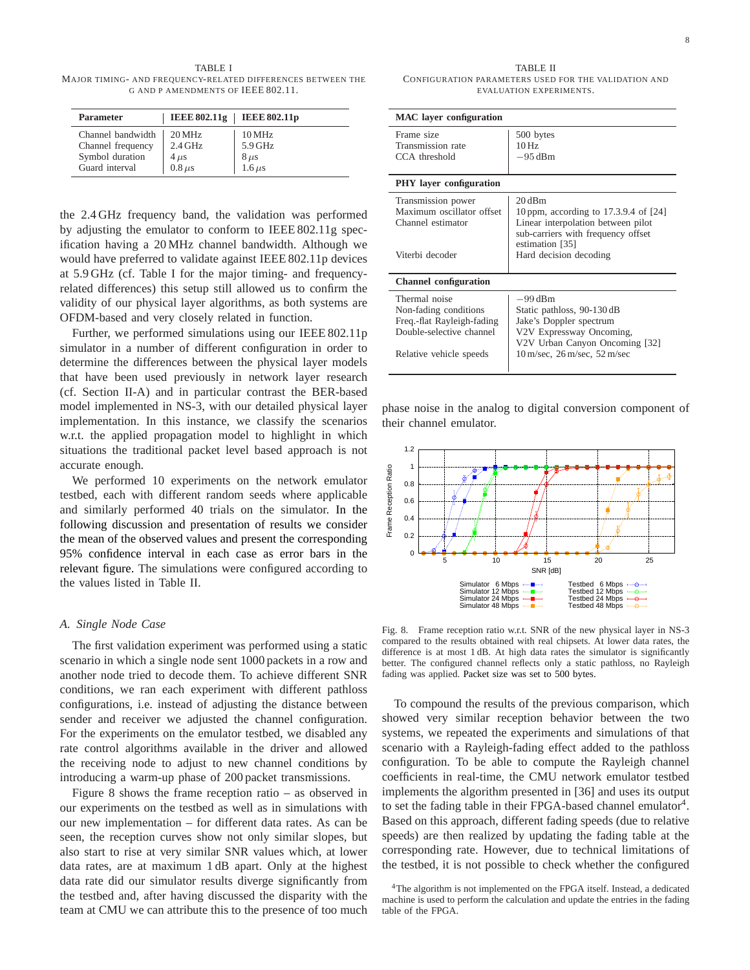TABLE I MAJOR TIMING- AND FREQUENCY-RELATED DIFFERENCES BETWEEN THE G AND P AMENDMENTS OF IEEE 802.11.

| <b>Parameter</b>                                                            | <b>IEEE 802.11g</b>                             | <b>IEEE 802.11p</b>                               |
|-----------------------------------------------------------------------------|-------------------------------------------------|---------------------------------------------------|
| Channel bandwidth<br>Channel frequency<br>Symbol duration<br>Guard interval | 20 MHz<br>$2.4$ GHz<br>$4 \mu s$<br>0.8 $\mu s$ | 10 MHz<br>5.9 GHz<br>$8 \,\mu s$<br>$1.6 \,\mu s$ |

the 2.4 GHz frequency band, the validation was performed by adjusting the emulator to conform to IEEE 802.11g specification having a 20 MHz channel bandwidth. Although we would have preferred to validate against IEEE 802.11p devices at 5.9 GHz (cf. Table I for the major timing- and frequencyrelated differences) this setup still allowed us to confirm the validity of our physical layer algorithms, as both systems are OFDM-based and very closely related in function.

Further, we performed simulations using our IEEE 802.11p simulator in a number of different configuration in order to determine the differences between the physical layer models that have been used previously in network layer research (cf. Section II-A) and in particular contrast the BER-based model implemented in NS-3, with our detailed physical layer implementation. In this instance, we classify the scenarios w.r.t. the applied propagation model to highlight in which situations the traditional packet level based approach is not accurate enough.

We performed 10 experiments on the network emulator testbed, each with different random seeds where applicable and similarly performed 40 trials on the simulator. In the following discussion and presentation of results we consider the mean of the observed values and present the corresponding 95% confidence interval in each case as error bars in the relevant figure. The simulations were configured according to the values listed in Table II.

#### *A. Single Node Case*

The first validation experiment was performed using a static scenario in which a single node sent 1000 packets in a row and another node tried to decode them. To achieve different SNR conditions, we ran each experiment with different pathloss configurations, i.e. instead of adjusting the distance between sender and receiver we adjusted the channel configuration. For the experiments on the emulator testbed, we disabled any rate control algorithms available in the driver and allowed the receiving node to adjust to new channel conditions by introducing a warm-up phase of 200 packet transmissions.

Figure 8 shows the frame reception ratio – as observed in our experiments on the testbed as well as in simulations with our new implementation – for different data rates. As can be seen, the reception curves show not only similar slopes, but also start to rise at very similar SNR values which, at lower data rates, are at maximum 1 dB apart. Only at the highest data rate did our simulator results diverge significantly from the testbed and, after having discussed the disparity with the team at CMU we can attribute this to the presence of too much

TABLE II CONFIGURATION PARAMETERS USED FOR THE VALIDATION AND EVALUATION EXPERIMENTS.

| <b>MAC</b> layer configuration                                                                                              |                                                                                                                                                                                                  |  |  |  |
|-----------------------------------------------------------------------------------------------------------------------------|--------------------------------------------------------------------------------------------------------------------------------------------------------------------------------------------------|--|--|--|
| Frame size<br>Transmission rate<br>CCA threshold                                                                            | 500 bytes<br>10 <sub>Hz</sub><br>$-95$ dBm                                                                                                                                                       |  |  |  |
| <b>PHY</b> layer configuration                                                                                              |                                                                                                                                                                                                  |  |  |  |
| Transmission power<br>Maximum oscillator offset<br>Channel estimator<br>Viterbi decoder                                     | 20dBm<br>10 ppm, according to 17.3.9.4 of [24]<br>Linear interpolation between pilot<br>sub-carriers with frequency offset<br>estimation [35]<br>Hard decision decoding                          |  |  |  |
| <b>Channel configuration</b>                                                                                                |                                                                                                                                                                                                  |  |  |  |
| Thermal noise<br>Non-fading conditions<br>Freq.-flat Rayleigh-fading<br>Double-selective channel<br>Relative vehicle speeds | $-99$ dBm<br>Static pathloss, 90-130 dB<br>Jake's Doppler spectrum<br>V2V Expressway Oncoming,<br>V2V Urban Canyon Oncoming [32]<br>$10 \text{ m/sec}$ , $26 \text{ m/sec}$ , $52 \text{ m/sec}$ |  |  |  |

phase noise in the analog to digital conversion component of their channel emulator.



Fig. 8. Frame reception ratio w.r.t. SNR of the new physical layer in NS-3 compared to the results obtained with real chipsets. At lower data rates, the difference is at most 1 dB. At high data rates the simulator is significantly better. The configured channel reflects only a static pathloss, no Rayleigh fading was applied. Packet size was set to 500 bytes.

To compound the results of the previous comparison, which showed very similar reception behavior between the two systems, we repeated the experiments and simulations of that scenario with a Rayleigh-fading effect added to the pathloss configuration. To be able to compute the Rayleigh channel coefficients in real-time, the CMU network emulator testbed implements the algorithm presented in [36] and uses its output to set the fading table in their FPGA-based channel emulator<sup>4</sup>. Based on this approach, different fading speeds (due to relative speeds) are then realized by updating the fading table at the corresponding rate. However, due to technical limitations of the testbed, it is not possible to check whether the configured

<sup>4</sup>The algorithm is not implemented on the FPGA itself. Instead, a dedicated machine is used to perform the calculation and update the entries in the fading table of the FPGA.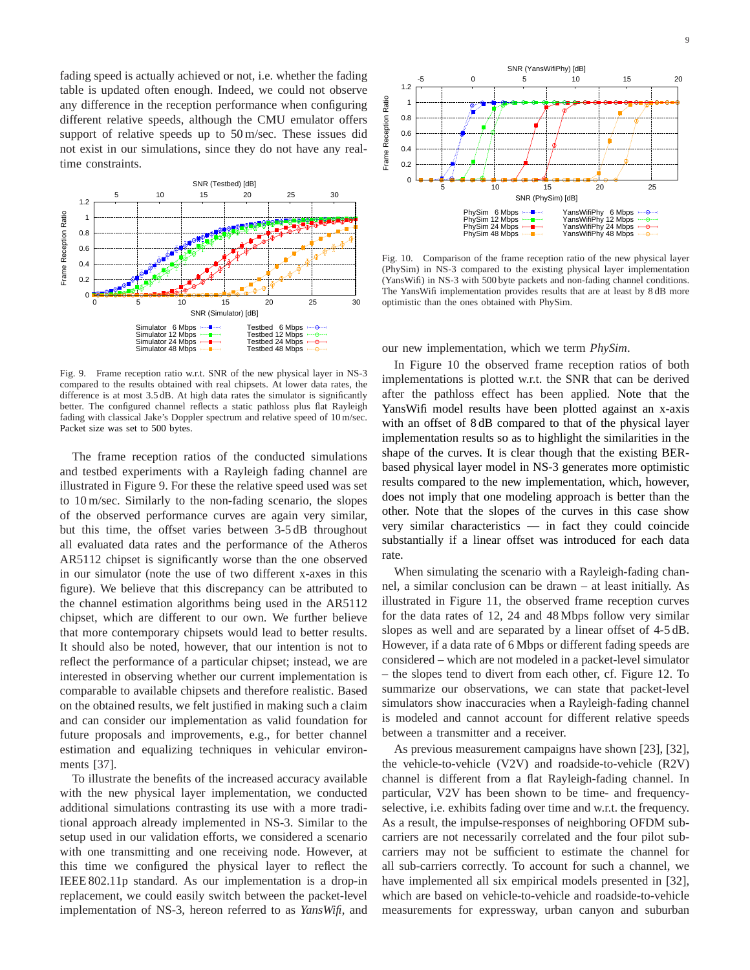fading speed is actually achieved or not, i.e. whether the fading table is updated often enough. Indeed, we could not observe any difference in the reception performance when configuring different relative speeds, although the CMU emulator offers support of relative speeds up to 50 m/sec. These issues did not exist in our simulations, since they do not have any realtime constraints.



Fig. 9. Frame reception ratio w.r.t. SNR of the new physical layer in NS-3 compared to the results obtained with real chipsets. At lower data rates, the difference is at most 3.5 dB. At high data rates the simulator is significantly better. The configured channel reflects a static pathloss plus flat Rayleigh fading with classical Jake's Doppler spectrum and relative speed of 10 m/sec. Packet size was set to 500 bytes.

The frame reception ratios of the conducted simulations and testbed experiments with a Rayleigh fading channel are illustrated in Figure 9. For these the relative speed used was set to 10 m/sec. Similarly to the non-fading scenario, the slopes of the observed performance curves are again very similar, but this time, the offset varies between 3-5 dB throughout all evaluated data rates and the performance of the Atheros AR5112 chipset is significantly worse than the one observed in our simulator (note the use of two different x-axes in this figure). We believe that this discrepancy can be attributed to the channel estimation algorithms being used in the AR5112 chipset, which are different to our own. We further believe that more contemporary chipsets would lead to better results. It should also be noted, however, that our intention is not to reflect the performance of a particular chipset; instead, we are interested in observing whether our current implementation is comparable to available chipsets and therefore realistic. Based on the obtained results, we felt justified in making such a claim and can consider our implementation as valid foundation for future proposals and improvements, e.g., for better channel estimation and equalizing techniques in vehicular environments [37].

To illustrate the benefits of the increased accuracy available with the new physical layer implementation, we conducted additional simulations contrasting its use with a more traditional approach already implemented in NS-3. Similar to the setup used in our validation efforts, we considered a scenario with one transmitting and one receiving node. However, at this time we configured the physical layer to reflect the IEEE 802.11p standard. As our implementation is a drop-in replacement, we could easily switch between the packet-level implementation of NS-3, hereon referred to as *YansWifi*, and



Fig. 10. Comparison of the frame reception ratio of the new physical layer (PhySim) in NS-3 compared to the existing physical layer implementation (YansWifi) in NS-3 with 500 byte packets and non-fading channel conditions. The YansWifi implementation provides results that are at least by 8 dB more optimistic than the ones obtained with PhySim.

our new implementation, which we term *PhySim*.

In Figure 10 the observed frame reception ratios of both implementations is plotted w.r.t. the SNR that can be derived after the pathloss effect has been applied. Note that the YansWifi model results have been plotted against an x-axis with an offset of 8 dB compared to that of the physical layer implementation results so as to highlight the similarities in the shape of the curves. It is clear though that the existing BERbased physical layer model in NS-3 generates more optimistic results compared to the new implementation, which, however, does not imply that one modeling approach is better than the other. Note that the slopes of the curves in this case show very similar characteristics — in fact they could coincide substantially if a linear offset was introduced for each data rate.

When simulating the scenario with a Rayleigh-fading channel, a similar conclusion can be drawn – at least initially. As illustrated in Figure 11, the observed frame reception curves for the data rates of 12, 24 and 48 Mbps follow very similar slopes as well and are separated by a linear offset of 4-5 dB. However, if a data rate of 6 Mbps or different fading speeds are considered – which are not modeled in a packet-level simulator – the slopes tend to divert from each other, cf. Figure 12. To summarize our observations, we can state that packet-level simulators show inaccuracies when a Rayleigh-fading channel is modeled and cannot account for different relative speeds between a transmitter and a receiver.

As previous measurement campaigns have shown [23], [32], the vehicle-to-vehicle (V2V) and roadside-to-vehicle (R2V) channel is different from a flat Rayleigh-fading channel. In particular, V2V has been shown to be time- and frequencyselective, i.e. exhibits fading over time and w.r.t. the frequency. As a result, the impulse-responses of neighboring OFDM subcarriers are not necessarily correlated and the four pilot subcarriers may not be sufficient to estimate the channel for all sub-carriers correctly. To account for such a channel, we have implemented all six empirical models presented in [32], which are based on vehicle-to-vehicle and roadside-to-vehicle measurements for expressway, urban canyon and suburban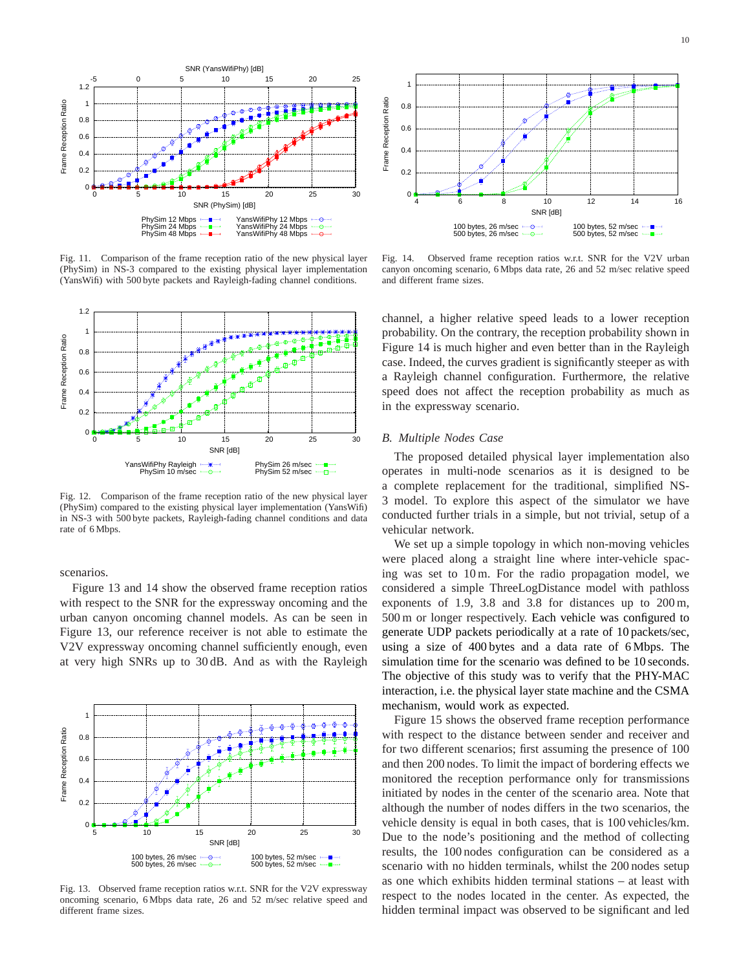

Fig. 11. Comparison of the frame reception ratio of the new physical layer (PhySim) in NS-3 compared to the existing physical layer implementation (YansWifi) with 500 byte packets and Rayleigh-fading channel conditions.



Fig. 12. Comparison of the frame reception ratio of the new physical layer (PhySim) compared to the existing physical layer implementation (YansWifi) in NS-3 with 500 byte packets, Rayleigh-fading channel conditions and data rate of 6 Mbps.

scenarios.

Figure 13 and 14 show the observed frame reception ratios with respect to the SNR for the expressway oncoming and the urban canyon oncoming channel models. As can be seen in Figure 13, our reference receiver is not able to estimate the V2V expressway oncoming channel sufficiently enough, even at very high SNRs up to 30 dB. And as with the Rayleigh



Fig. 13. Observed frame reception ratios w.r.t. SNR for the V2V expressway oncoming scenario, 6 Mbps data rate, 26 and 52 m/sec relative speed and different frame sizes.



Fig. 14. Observed frame reception ratios w.r.t. SNR for the V2V urban canyon oncoming scenario, 6 Mbps data rate, 26 and 52 m/sec relative speed and different frame sizes.

channel, a higher relative speed leads to a lower reception probability. On the contrary, the reception probability shown in Figure 14 is much higher and even better than in the Rayleigh case. Indeed, the curves gradient is significantly steeper as with a Rayleigh channel configuration. Furthermore, the relative speed does not affect the reception probability as much as in the expressway scenario.

#### *B. Multiple Nodes Case*

The proposed detailed physical layer implementation also operates in multi-node scenarios as it is designed to be a complete replacement for the traditional, simplified NS-3 model. To explore this aspect of the simulator we have conducted further trials in a simple, but not trivial, setup of a vehicular network.

We set up a simple topology in which non-moving vehicles were placed along a straight line where inter-vehicle spacing was set to 10 m. For the radio propagation model, we considered a simple ThreeLogDistance model with pathloss exponents of 1.9, 3.8 and 3.8 for distances up to 200 m, 500 m or longer respectively. Each vehicle was configured to generate UDP packets periodically at a rate of 10 packets/sec, using a size of 400 bytes and a data rate of 6 Mbps. The simulation time for the scenario was defined to be 10 seconds. The objective of this study was to verify that the PHY-MAC interaction, i.e. the physical layer state machine and the CSMA mechanism, would work as expected.

Figure 15 shows the observed frame reception performance with respect to the distance between sender and receiver and for two different scenarios; first assuming the presence of 100 and then 200 nodes. To limit the impact of bordering effects we monitored the reception performance only for transmissions initiated by nodes in the center of the scenario area. Note that although the number of nodes differs in the two scenarios, the vehicle density is equal in both cases, that is 100 vehicles/km. Due to the node's positioning and the method of collecting results, the 100 nodes configuration can be considered as a scenario with no hidden terminals, whilst the 200 nodes setup as one which exhibits hidden terminal stations – at least with respect to the nodes located in the center. As expected, the hidden terminal impact was observed to be significant and led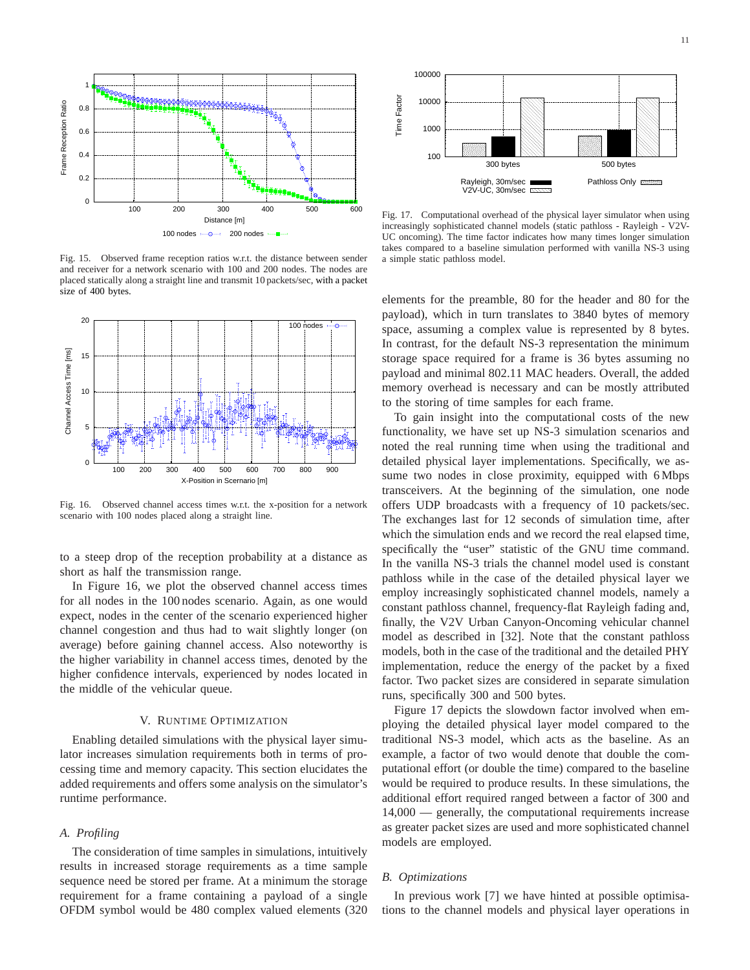11



Fig. 15. Observed frame reception ratios w.r.t. the distance between sender and receiver for a network scenario with 100 and 200 nodes. The nodes are placed statically along a straight line and transmit 10 packets/sec, with a packet size of 400 bytes.



Fig. 16. Observed channel access times w.r.t. the x-position for a network scenario with 100 nodes placed along a straight line.

to a steep drop of the reception probability at a distance as short as half the transmission range.

In Figure 16, we plot the observed channel access times for all nodes in the 100 nodes scenario. Again, as one would expect, nodes in the center of the scenario experienced higher channel congestion and thus had to wait slightly longer (on average) before gaining channel access. Also noteworthy is the higher variability in channel access times, denoted by the higher confidence intervals, experienced by nodes located in the middle of the vehicular queue.

#### V. RUNTIME OPTIMIZATION

Enabling detailed simulations with the physical layer simulator increases simulation requirements both in terms of processing time and memory capacity. This section elucidates the added requirements and offers some analysis on the simulator's runtime performance.

#### *A. Profiling*

The consideration of time samples in simulations, intuitively results in increased storage requirements as a time sample sequence need be stored per frame. At a minimum the storage requirement for a frame containing a payload of a single OFDM symbol would be 480 complex valued elements (320



Fig. 17. Computational overhead of the physical layer simulator when using increasingly sophisticated channel models (static pathloss - Rayleigh - V2V-UC oncoming). The time factor indicates how many times longer simulation takes compared to a baseline simulation performed with vanilla NS-3 using a simple static pathloss model.

elements for the preamble, 80 for the header and 80 for the payload), which in turn translates to 3840 bytes of memory space, assuming a complex value is represented by 8 bytes. In contrast, for the default NS-3 representation the minimum storage space required for a frame is 36 bytes assuming no payload and minimal 802.11 MAC headers. Overall, the added memory overhead is necessary and can be mostly attributed to the storing of time samples for each frame.

To gain insight into the computational costs of the new functionality, we have set up NS-3 simulation scenarios and noted the real running time when using the traditional and detailed physical layer implementations. Specifically, we assume two nodes in close proximity, equipped with 6 Mbps transceivers. At the beginning of the simulation, one node offers UDP broadcasts with a frequency of 10 packets/sec. The exchanges last for 12 seconds of simulation time, after which the simulation ends and we record the real elapsed time, specifically the "user" statistic of the GNU time command. In the vanilla NS-3 trials the channel model used is constant pathloss while in the case of the detailed physical layer we employ increasingly sophisticated channel models, namely a constant pathloss channel, frequency-flat Rayleigh fading and, finally, the V2V Urban Canyon-Oncoming vehicular channel model as described in [32]. Note that the constant pathloss models, both in the case of the traditional and the detailed PHY implementation, reduce the energy of the packet by a fixed factor. Two packet sizes are considered in separate simulation runs, specifically 300 and 500 bytes.

Figure 17 depicts the slowdown factor involved when employing the detailed physical layer model compared to the traditional NS-3 model, which acts as the baseline. As an example, a factor of two would denote that double the computational effort (or double the time) compared to the baseline would be required to produce results. In these simulations, the additional effort required ranged between a factor of 300 and 14,000 — generally, the computational requirements increase as greater packet sizes are used and more sophisticated channel models are employed.

#### *B. Optimizations*

In previous work [7] we have hinted at possible optimisations to the channel models and physical layer operations in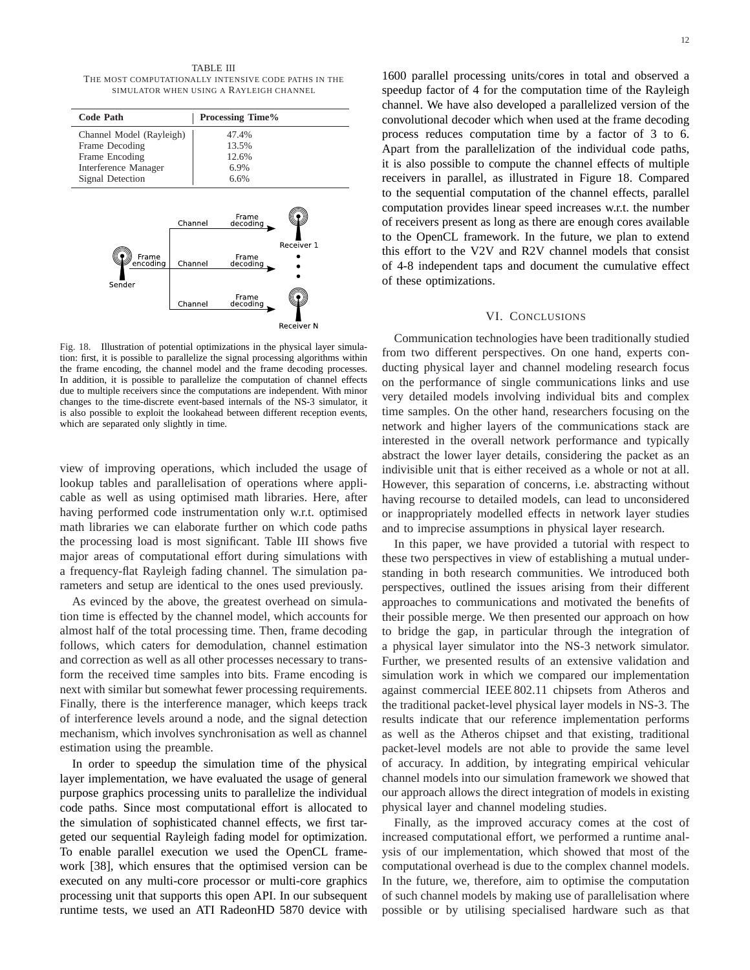TABLE III THE MOST COMPUTATIONALLY INTENSIVE CODE PATHS IN THE SIMULATOR WHEN USING A RAYLEIGH CHANNEL

| <b>Code Path</b>         |                    | <b>Processing Time%</b>                |            |
|--------------------------|--------------------|----------------------------------------|------------|
| Channel Model (Rayleigh) |                    | 47.4%                                  |            |
| Frame Decoding           |                    | 13.5%                                  |            |
| Frame Encoding           |                    | 12.6%                                  |            |
| Interference Manager     |                    | 6.9%                                   |            |
| Signal Detection         |                    | 6.6%                                   |            |
| Frame<br>encoding        | Channel<br>Channel | Frame<br>decoding<br>Frame<br>decoding | Receiver 1 |
| Sender                   | Channel            | Frame<br>decoding                      | Receiver N |

Fig. 18. Illustration of potential optimizations in the physical layer simulation: first, it is possible to parallelize the signal processing algorithms within the frame encoding, the channel model and the frame decoding processes. In addition, it is possible to parallelize the computation of channel effects due to multiple receivers since the computations are independent. With minor changes to the time-discrete event-based internals of the NS-3 simulator, it is also possible to exploit the lookahead between different reception events, which are separated only slightly in time.

view of improving operations, which included the usage of lookup tables and parallelisation of operations where applicable as well as using optimised math libraries. Here, after having performed code instrumentation only w.r.t. optimised math libraries we can elaborate further on which code paths the processing load is most significant. Table III shows five major areas of computational effort during simulations with a frequency-flat Rayleigh fading channel. The simulation parameters and setup are identical to the ones used previously.

As evinced by the above, the greatest overhead on simulation time is effected by the channel model, which accounts for almost half of the total processing time. Then, frame decoding follows, which caters for demodulation, channel estimation and correction as well as all other processes necessary to transform the received time samples into bits. Frame encoding is next with similar but somewhat fewer processing requirements. Finally, there is the interference manager, which keeps track of interference levels around a node, and the signal detection mechanism, which involves synchronisation as well as channel estimation using the preamble.

In order to speedup the simulation time of the physical layer implementation, we have evaluated the usage of general purpose graphics processing units to parallelize the individual code paths. Since most computational effort is allocated to the simulation of sophisticated channel effects, we first targeted our sequential Rayleigh fading model for optimization. To enable parallel execution we used the OpenCL framework [38], which ensures that the optimised version can be executed on any multi-core processor or multi-core graphics processing unit that supports this open API. In our subsequent runtime tests, we used an ATI RadeonHD 5870 device with

1600 parallel processing units/cores in total and observed a speedup factor of 4 for the computation time of the Rayleigh channel. We have also developed a parallelized version of the convolutional decoder which when used at the frame decoding process reduces computation time by a factor of 3 to 6. Apart from the parallelization of the individual code paths, it is also possible to compute the channel effects of multiple receivers in parallel, as illustrated in Figure 18. Compared to the sequential computation of the channel effects, parallel computation provides linear speed increases w.r.t. the number of receivers present as long as there are enough cores available to the OpenCL framework. In the future, we plan to extend this effort to the V2V and R2V channel models that consist of 4-8 independent taps and document the cumulative effect of these optimizations.

#### VI. CONCLUSIONS

Communication technologies have been traditionally studied from two different perspectives. On one hand, experts conducting physical layer and channel modeling research focus on the performance of single communications links and use very detailed models involving individual bits and complex time samples. On the other hand, researchers focusing on the network and higher layers of the communications stack are interested in the overall network performance and typically abstract the lower layer details, considering the packet as an indivisible unit that is either received as a whole or not at all. However, this separation of concerns, i.e. abstracting without having recourse to detailed models, can lead to unconsidered or inappropriately modelled effects in network layer studies and to imprecise assumptions in physical layer research.

In this paper, we have provided a tutorial with respect to these two perspectives in view of establishing a mutual understanding in both research communities. We introduced both perspectives, outlined the issues arising from their different approaches to communications and motivated the benefits of their possible merge. We then presented our approach on how to bridge the gap, in particular through the integration of a physical layer simulator into the NS-3 network simulator. Further, we presented results of an extensive validation and simulation work in which we compared our implementation against commercial IEEE 802.11 chipsets from Atheros and the traditional packet-level physical layer models in NS-3. The results indicate that our reference implementation performs as well as the Atheros chipset and that existing, traditional packet-level models are not able to provide the same level of accuracy. In addition, by integrating empirical vehicular channel models into our simulation framework we showed that our approach allows the direct integration of models in existing physical layer and channel modeling studies.

Finally, as the improved accuracy comes at the cost of increased computational effort, we performed a runtime analysis of our implementation, which showed that most of the computational overhead is due to the complex channel models. In the future, we, therefore, aim to optimise the computation of such channel models by making use of parallelisation where possible or by utilising specialised hardware such as that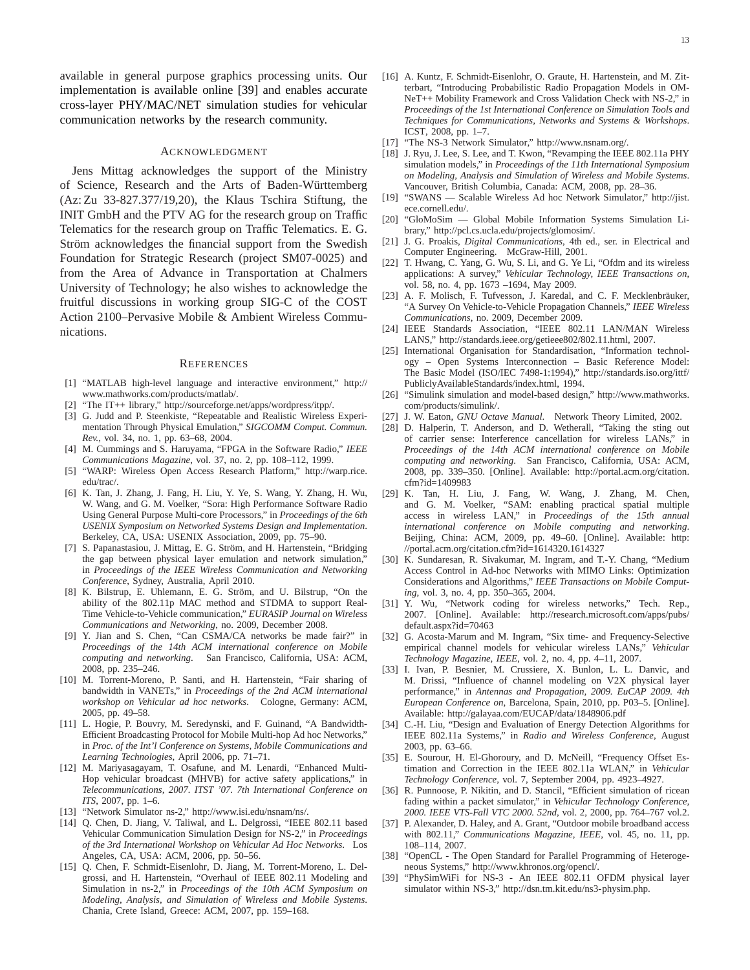available in general purpose graphics processing units. Our implementation is available online [39] and enables accurate cross-layer PHY/MAC/NET simulation studies for vehicular communication networks by the research community.

#### ACKNOWLEDGMENT

Jens Mittag acknowledges the support of the Ministry of Science, Research and the Arts of Baden-Württemberg (Az: Zu 33-827.377/19,20), the Klaus Tschira Stiftung, the INIT GmbH and the PTV AG for the research group on Traffic Telematics for the research group on Traffic Telematics. E. G. Ström acknowledges the financial support from the Swedish Foundation for Strategic Research (project SM07-0025) and from the Area of Advance in Transportation at Chalmers University of Technology; he also wishes to acknowledge the fruitful discussions in working group SIG-C of the COST Action 2100–Pervasive Mobile & Ambient Wireless Communications.

#### **REFERENCES**

- [1] "MATLAB high-level language and interactive environment," http:// www.mathworks.com/products/matlab/.
- [2] "The IT++ library," http://sourceforge.net/apps/wordpress/itpp/.
- [3] G. Judd and P. Steenkiste, "Repeatable and Realistic Wireless Experimentation Through Physical Emulation," *SIGCOMM Comput. Commun. Rev.*, vol. 34, no. 1, pp. 63–68, 2004.
- [4] M. Cummings and S. Haruyama, "FPGA in the Software Radio," *IEEE Communications Magazine*, vol. 37, no. 2, pp. 108–112, 1999.
- [5] "WARP: Wireless Open Access Research Platform," http://warp.rice. edu/trac/.
- [6] K. Tan, J. Zhang, J. Fang, H. Liu, Y. Ye, S. Wang, Y. Zhang, H. Wu, W. Wang, and G. M. Voelker, "Sora: High Performance Software Radio Using General Purpose Multi-core Processors," in *Proceedings of the 6th USENIX Symposium on Networked Systems Design and Implementation*. Berkeley, CA, USA: USENIX Association, 2009, pp. 75–90.
- [7] S. Papanastasiou, J. Mittag, E. G. Ström, and H. Hartenstein, "Bridging the gap between physical layer emulation and network simulation," in *Proceedings of the IEEE Wireless Communication and Networking Conference*, Sydney, Australia, April 2010.
- [8] K. Bilstrup, E. Uhlemann, E. G. Ström, and U. Bilstrup, "On the ability of the 802.11p MAC method and STDMA to support Real-Time Vehicle-to-Vehicle communication," *EURASIP Journal on Wireless Communications and Networking*, no. 2009, December 2008.
- [9] Y. Jian and S. Chen, "Can CSMA/CA networks be made fair?" in *Proceedings of the 14th ACM international conference on Mobile computing and networking*. San Francisco, California, USA: ACM, 2008, pp. 235–246.
- [10] M. Torrent-Moreno, P. Santi, and H. Hartenstein, "Fair sharing of bandwidth in VANETs," in *Proceedings of the 2nd ACM international workshop on Vehicular ad hoc networks*. Cologne, Germany: ACM, 2005, pp. 49–58.
- [11] L. Hogie, P. Bouvry, M. Seredynski, and F. Guinand, "A Bandwidth-Efficient Broadcasting Protocol for Mobile Multi-hop Ad hoc Networks," in *Proc. of the Int'l Conference on Systems, Mobile Communications and Learning Technologies*, April 2006, pp. 71–71.
- [12] M. Mariyasagayam, T. Osafune, and M. Lenardi, "Enhanced Multi-Hop vehicular broadcast (MHVB) for active safety applications," in *Telecommunications, 2007. ITST '07. 7th International Conference on ITS*, 2007, pp. 1–6.
- [13] "Network Simulator ns-2," http://www.isi.edu/nsnam/ns/.
- [14] Q. Chen, D. Jiang, V. Taliwal, and L. Delgrossi, "IEEE 802.11 based Vehicular Communication Simulation Design for NS-2," in *Proceedings of the 3rd International Workshop on Vehicular Ad Hoc Networks*. Los Angeles, CA, USA: ACM, 2006, pp. 50–56.
- [15] Q. Chen, F. Schmidt-Eisenlohr, D. Jiang, M. Torrent-Moreno, L. Delgrossi, and H. Hartenstein, "Overhaul of IEEE 802.11 Modeling and Simulation in ns-2," in *Proceedings of the 10th ACM Symposium on Modeling, Analysis, and Simulation of Wireless and Mobile Systems*. Chania, Crete Island, Greece: ACM, 2007, pp. 159–168.
- [16] A. Kuntz, F. Schmidt-Eisenlohr, O. Graute, H. Hartenstein, and M. Zitterbart, "Introducing Probabilistic Radio Propagation Models in OM-NeT++ Mobility Framework and Cross Validation Check with NS-2," in *Proceedings of the 1st International Conference on Simulation Tools and Techniques for Communications, Networks and Systems & Workshops*. ICST, 2008, pp. 1–7.
- [17] "The NS-3 Network Simulator," http://www.nsnam.org/.
- [18] J. Ryu, J. Lee, S. Lee, and T. Kwon, "Revamping the IEEE 802.11a PHY simulation models," in *Proceedings of the 11th International Symposium on Modeling, Analysis and Simulation of Wireless and Mobile Systems*. Vancouver, British Columbia, Canada: ACM, 2008, pp. 28–36.
- [19] "SWANS Scalable Wireless Ad hoc Network Simulator," http://jist. ece.cornell.edu/.
- [20] "GloMoSim Global Mobile Information Systems Simulation Library," http://pcl.cs.ucla.edu/projects/glomosim/.
- [21] J. G. Proakis, *Digital Communications*, 4th ed., ser. in Electrical and Computer Engineering. McGraw-Hill, 2001.
- [22] T. Hwang, C. Yang, G. Wu, S. Li, and G. Ye Li, "Ofdm and its wireless applications: A survey," *Vehicular Technology, IEEE Transactions on*, vol. 58, no. 4, pp. 1673 –1694, May 2009.
- [23] A. F. Molisch, F. Tufvesson, J. Karedal, and C. F. Mecklenbräuker, "A Survey On Vehicle-to-Vehicle Propagation Channels," *IEEE Wireless Communications*, no. 2009, December 2009.
- [24] IEEE Standards Association, "IEEE 802.11 LAN/MAN Wireless LANS," http://standards.ieee.org/getieee802/802.11.html, 2007.
- [25] International Organisation for Standardisation, "Information technology – Open Systems Interconnection – Basic Reference Model: The Basic Model (ISO/IEC 7498-1:1994)," http://standards.iso.org/ittf/ PubliclyAvailableStandards/index.html, 1994.
- [26] "Simulink simulation and model-based design," http://www.mathworks. com/products/simulink/.
- [27] J. W. Eaton, *GNU Octave Manual*. Network Theory Limited, 2002.
- [28] D. Halperin, T. Anderson, and D. Wetherall, "Taking the sting out of carrier sense: Interference cancellation for wireless LANs," in *Proceedings of the 14th ACM international conference on Mobile computing and networking*. San Francisco, California, USA: ACM, 2008, pp. 339–350. [Online]. Available: http://portal.acm.org/citation. cfm?id=1409983
- [29] K. Tan, H. Liu, J. Fang, W. Wang, J. Zhang, M. Chen, and G. M. Voelker, "SAM: enabling practical spatial multiple access in wireless LAN," in *Proceedings of the 15th annual international conference on Mobile computing and networking*. Beijing, China: ACM, 2009, pp. 49–60. [Online]. Available: http: //portal.acm.org/citation.cfm?id=1614320.1614327
- [30] K. Sundaresan, R. Sivakumar, M. Ingram, and T.-Y. Chang, "Medium Access Control in Ad-hoc Networks with MIMO Links: Optimization Considerations and Algorithms," *IEEE Transactions on Mobile Computing*, vol. 3, no. 4, pp. 350–365, 2004.
- [31] Y. Wu, "Network coding for wireless networks," Tech. Rep., 2007. [Online]. Available: http://research.microsoft.com/apps/pubs/ default.aspx?id=70463
- [32] G. Acosta-Marum and M. Ingram, "Six time- and Frequency-Selective empirical channel models for vehicular wireless LANs," *Vehicular Technology Magazine, IEEE*, vol. 2, no. 4, pp. 4–11, 2007.
- [33] I. Ivan, P. Besnier, M. Crussiere, X. Bunlon, L. L. Danvic, and M. Drissi, "Influence of channel modeling on V2X physical layer performance," in *Antennas and Propagation, 2009. EuCAP 2009. 4th European Conference on*, Barcelona, Spain, 2010, pp. P03–5. [Online]. Available: http://galayaa.com/EUCAP/data/1848906.pdf
- [34] C.-H. Liu, "Design and Evaluation of Energy Detection Algorithms for IEEE 802.11a Systems," in *Radio and Wireless Conference*, August 2003, pp. 63–66.
- [35] E. Sourour, H. El-Ghoroury, and D. McNeill, "Frequency Offset Estimation and Correction in the IEEE 802.11a WLAN," in *Vehicular Technology Conference*, vol. 7, September 2004, pp. 4923–4927.
- [36] R. Punnoose, P. Nikitin, and D. Stancil, "Efficient simulation of ricean fading within a packet simulator," in *Vehicular Technology Conference, 2000. IEEE VTS-Fall VTC 2000. 52nd*, vol. 2, 2000, pp. 764–767 vol.2.
- [37] P. Alexander, D. Haley, and A. Grant, "Outdoor mobile broadband access with 802.11," *Communications Magazine, IEEE*, vol. 45, no. 11, pp. 108–114, 2007.
- [38] "OpenCL The Open Standard for Parallel Programming of Heterogeneous Systems," http://www.khronos.org/opencl/.
- [39] "PhySimWiFi for NS-3 An IEEE 802.11 OFDM physical layer simulator within NS-3," http://dsn.tm.kit.edu/ns3-physim.php.